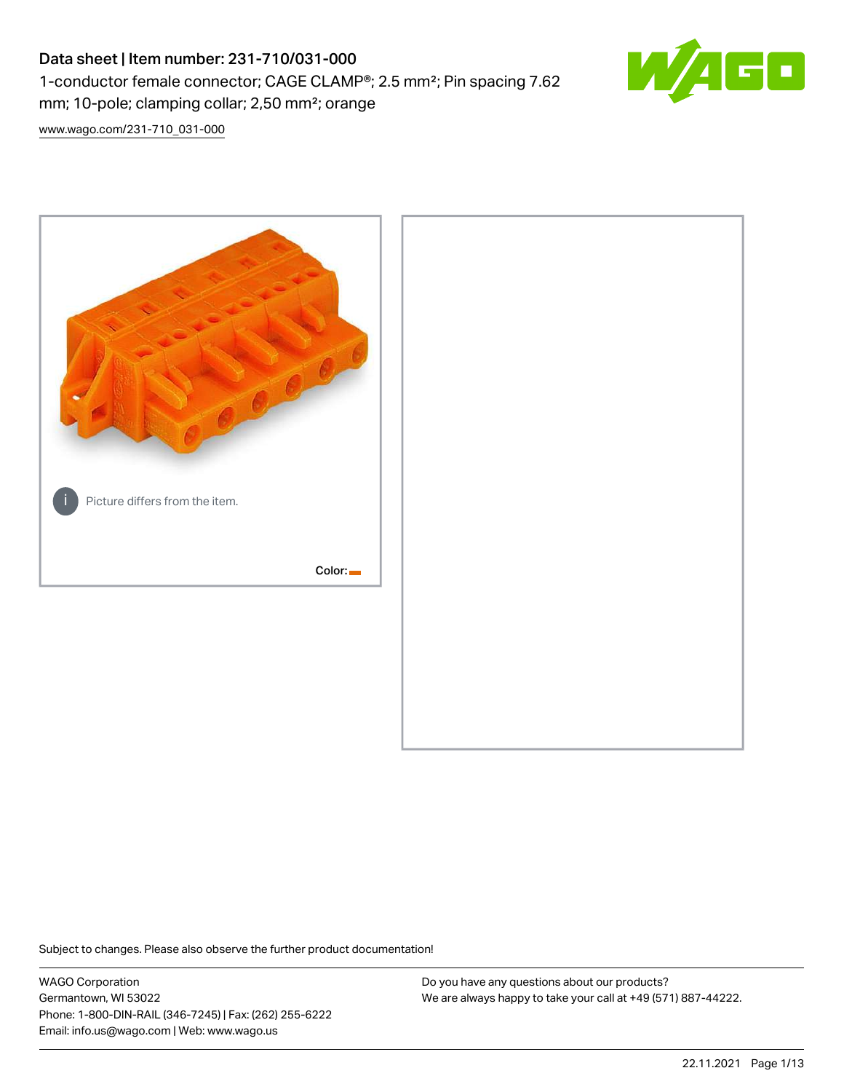# Data sheet | Item number: 231-710/031-000 1-conductor female connector; CAGE CLAMP®; 2.5 mm²; Pin spacing 7.62 mm; 10-pole; clamping collar; 2,50 mm²; orange



[www.wago.com/231-710\\_031-000](http://www.wago.com/231-710_031-000)



Subject to changes. Please also observe the further product documentation!

WAGO Corporation Germantown, WI 53022 Phone: 1-800-DIN-RAIL (346-7245) | Fax: (262) 255-6222 Email: info.us@wago.com | Web: www.wago.us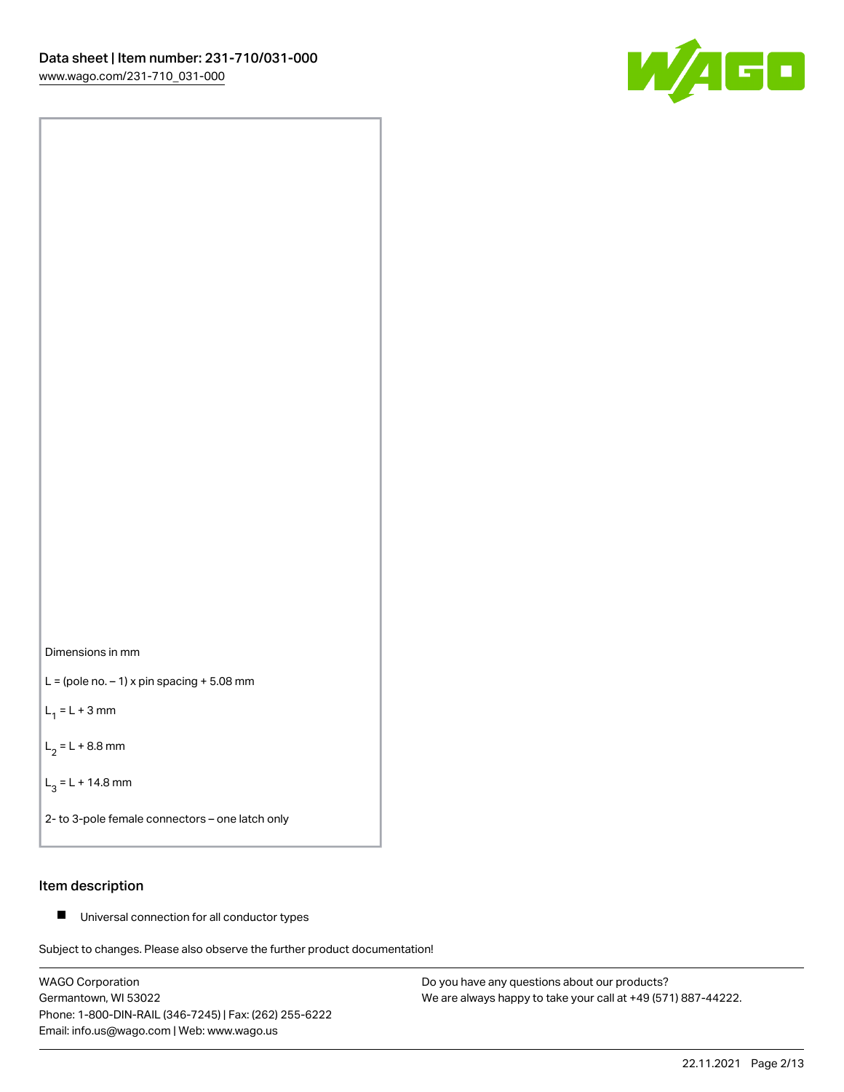



 $L =$  (pole no.  $-1$ ) x pin spacing  $+5.08$  mm

 $L_1 = L + 3$  mm

 $L_2 = L + 8.8$  mm

 $L_3 = L + 14.8$  mm

2- to 3-pole female connectors – one latch only

# Item description

■ Universal connection for all conductor types

Subject to changes. Please also observe the further product documentation!

WAGO Corporation Germantown, WI 53022 Phone: 1-800-DIN-RAIL (346-7245) | Fax: (262) 255-6222 Email: info.us@wago.com | Web: www.wago.us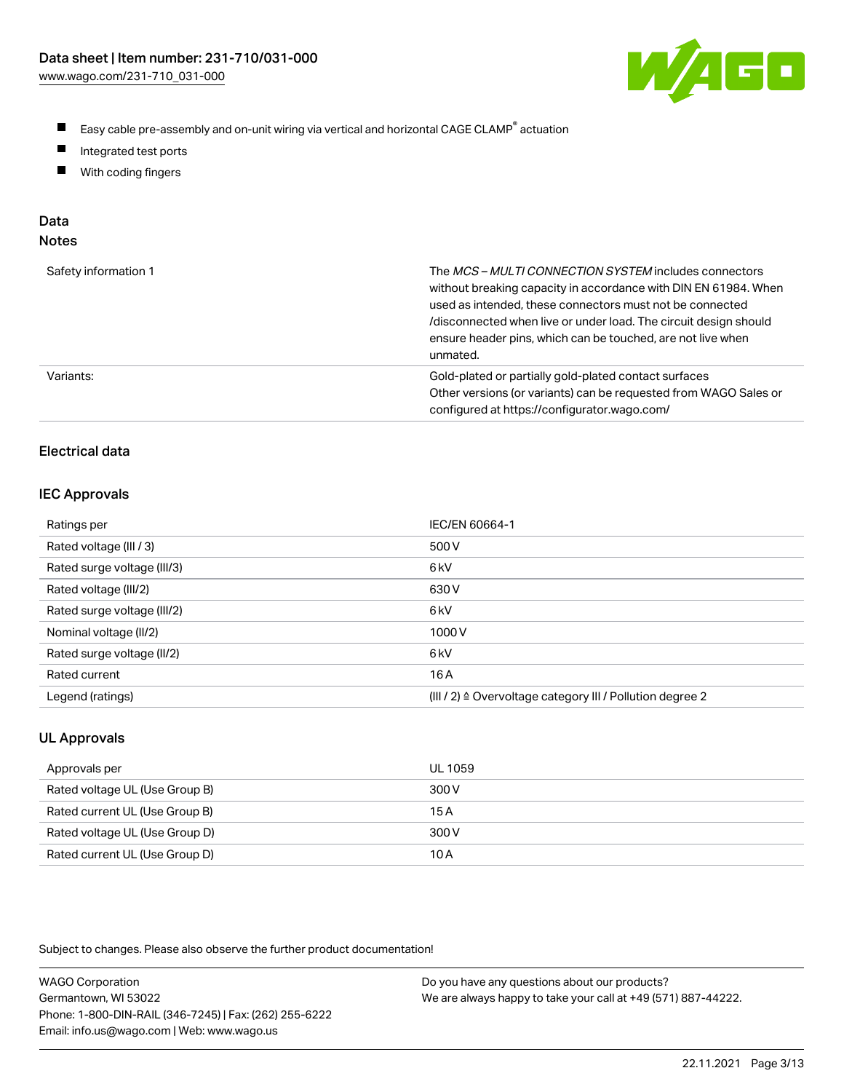

- $\blacksquare$ Easy cable pre-assembly and on-unit wiring via vertical and horizontal CAGE CLAMP<sup>®</sup> actuation
- $\blacksquare$ Integrated test ports
- $\blacksquare$ With coding fingers

# Data

| Safety information 1 | The MCS-MULTI CONNECTION SYSTEM includes connectors<br>without breaking capacity in accordance with DIN EN 61984. When<br>used as intended, these connectors must not be connected<br>/disconnected when live or under load. The circuit design should<br>ensure header pins, which can be touched, are not live when<br>unmated. |
|----------------------|-----------------------------------------------------------------------------------------------------------------------------------------------------------------------------------------------------------------------------------------------------------------------------------------------------------------------------------|
| Variants:            | Gold-plated or partially gold-plated contact surfaces<br>Other versions (or variants) can be requested from WAGO Sales or<br>configured at https://configurator.wago.com/                                                                                                                                                         |

# Electrical data

#### IEC Approvals

| Ratings per                 | IEC/EN 60664-1                                                        |
|-----------------------------|-----------------------------------------------------------------------|
| Rated voltage (III / 3)     | 500 V                                                                 |
| Rated surge voltage (III/3) | 6 <sub>k</sub> V                                                      |
| Rated voltage (III/2)       | 630 V                                                                 |
| Rated surge voltage (III/2) | 6 <sub>k</sub> V                                                      |
| Nominal voltage (II/2)      | 1000V                                                                 |
| Rated surge voltage (II/2)  | 6 <sub>k</sub> V                                                      |
| Rated current               | 16 A                                                                  |
| Legend (ratings)            | $(III / 2)$ $\triangle$ Overvoltage category III / Pollution degree 2 |

# UL Approvals

| Approvals per                  | UL 1059 |
|--------------------------------|---------|
| Rated voltage UL (Use Group B) | 300 V   |
| Rated current UL (Use Group B) | 15A     |
| Rated voltage UL (Use Group D) | 300 V   |
| Rated current UL (Use Group D) | 10 A    |

| <b>WAGO Corporation</b>                                | Do you have any questions about our products?                 |
|--------------------------------------------------------|---------------------------------------------------------------|
| Germantown, WI 53022                                   | We are always happy to take your call at +49 (571) 887-44222. |
| Phone: 1-800-DIN-RAIL (346-7245)   Fax: (262) 255-6222 |                                                               |
| Email: info.us@wago.com   Web: www.wago.us             |                                                               |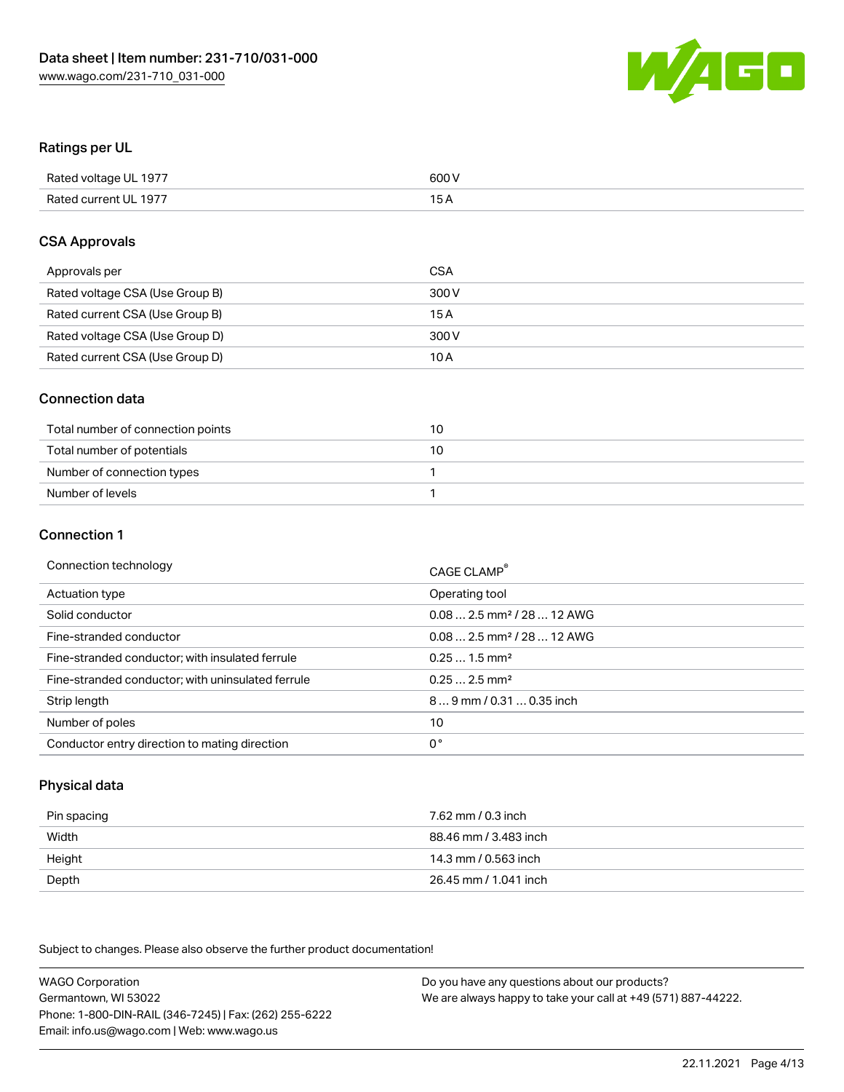

## Ratings per UL

| Rated voltage UL 1977 | 600 V |
|-----------------------|-------|
| Rated current UL 1977 | 1 E   |

#### CSA Approvals

| Approvals per                   | CSA   |
|---------------------------------|-------|
| Rated voltage CSA (Use Group B) | 300 V |
| Rated current CSA (Use Group B) | 15 A  |
| Rated voltage CSA (Use Group D) | 300 V |
| Rated current CSA (Use Group D) | 10 A  |

#### Connection data

| Total number of connection points | 10 |
|-----------------------------------|----|
| Total number of potentials        | 10 |
| Number of connection types        |    |
| Number of levels                  |    |

#### Connection 1

| Connection technology                             | CAGE CLAMP <sup>®</sup>                |
|---------------------------------------------------|----------------------------------------|
| Actuation type                                    | Operating tool                         |
| Solid conductor                                   | $0.082.5$ mm <sup>2</sup> / 28  12 AWG |
| Fine-stranded conductor                           | $0.082.5$ mm <sup>2</sup> / 28  12 AWG |
| Fine-stranded conductor; with insulated ferrule   | $0.251.5$ mm <sup>2</sup>              |
| Fine-stranded conductor; with uninsulated ferrule | $0.252.5$ mm <sup>2</sup>              |
| Strip length                                      | 89 mm / 0.31  0.35 inch                |
| Number of poles                                   | 10                                     |
| Conductor entry direction to mating direction     | 0°                                     |

## Physical data

| Pin spacing | 7.62 mm / 0.3 inch    |
|-------------|-----------------------|
| Width       | 88.46 mm / 3.483 inch |
| Height      | 14.3 mm / 0.563 inch  |
| Depth       | 26.45 mm / 1.041 inch |

Subject to changes. Please also observe the further product documentation!

WAGO Corporation Germantown, WI 53022 Phone: 1-800-DIN-RAIL (346-7245) | Fax: (262) 255-6222 Email: info.us@wago.com | Web: www.wago.us Do you have any questions about our products? We are always happy to take your call at +49 (571) 887-44222.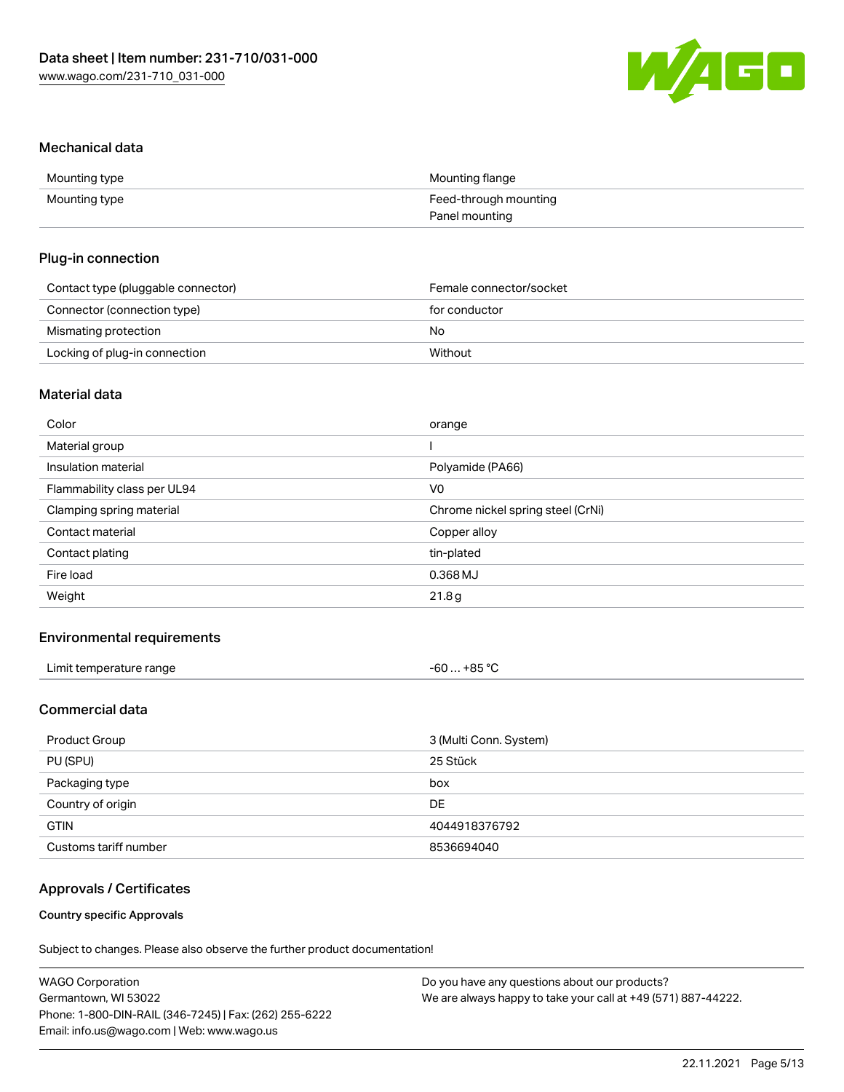

#### Mechanical data

| Mounting type | Mounting flange       |
|---------------|-----------------------|
| Mounting type | Feed-through mounting |
|               | Panel mounting        |

#### Plug-in connection

| Contact type (pluggable connector) | Female connector/socket |
|------------------------------------|-------------------------|
| Connector (connection type)        | for conductor           |
| Mismating protection               | No                      |
| Locking of plug-in connection      | Without                 |

# Material data

| Color                       | orange                            |
|-----------------------------|-----------------------------------|
| Material group              |                                   |
| Insulation material         | Polyamide (PA66)                  |
| Flammability class per UL94 | V <sub>0</sub>                    |
| Clamping spring material    | Chrome nickel spring steel (CrNi) |
| Contact material            | Copper alloy                      |
| Contact plating             | tin-plated                        |
| Fire load                   | 0.368 MJ                          |
| Weight                      | 21.8g                             |
|                             |                                   |

## Environmental requirements

| Limit temperature range | $-60+85 °C$<br>___<br>___ |
|-------------------------|---------------------------|
|-------------------------|---------------------------|

# Commercial data

| Product Group         | 3 (Multi Conn. System) |
|-----------------------|------------------------|
| PU (SPU)              | 25 Stück               |
| Packaging type        | box                    |
| Country of origin     | DE                     |
| <b>GTIN</b>           | 4044918376792          |
| Customs tariff number | 8536694040             |

# Approvals / Certificates

#### Country specific Approvals

| <b>WAGO Corporation</b>                                | Do you have any questions about our products?                 |
|--------------------------------------------------------|---------------------------------------------------------------|
| Germantown, WI 53022                                   | We are always happy to take your call at +49 (571) 887-44222. |
| Phone: 1-800-DIN-RAIL (346-7245)   Fax: (262) 255-6222 |                                                               |
| Email: info.us@wago.com   Web: www.wago.us             |                                                               |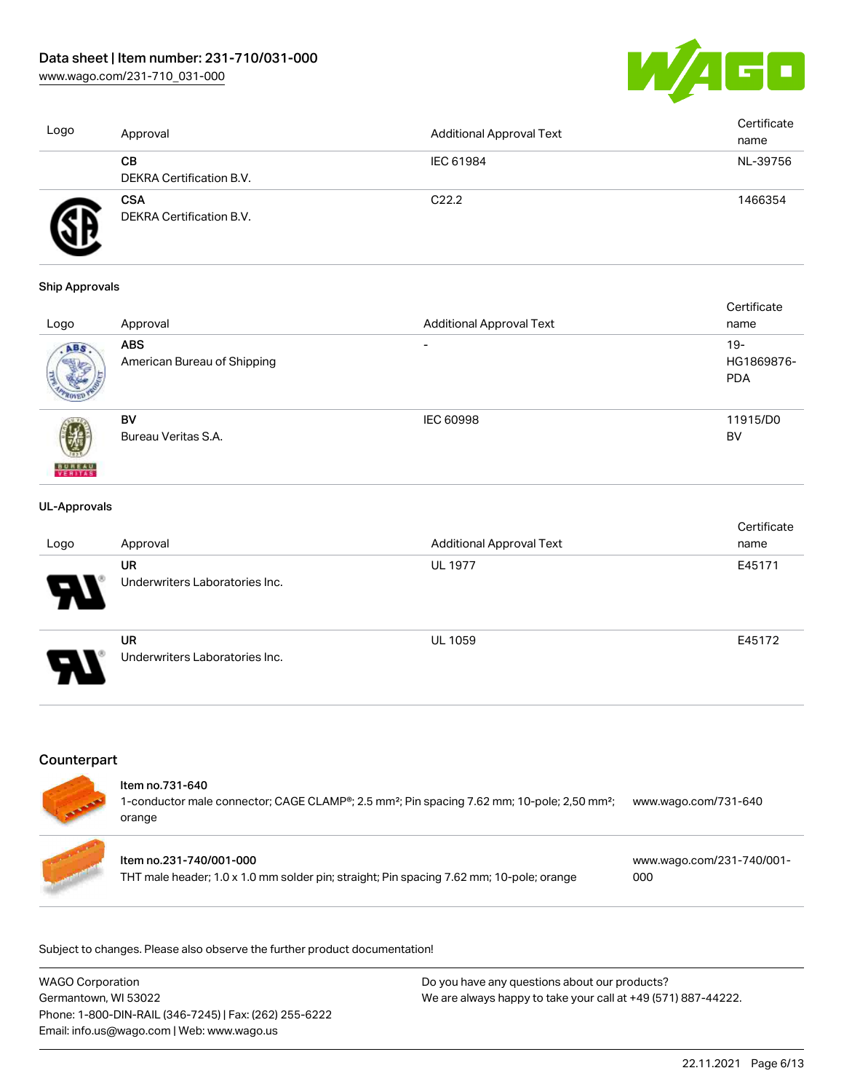[www.wago.com/231-710\\_031-000](http://www.wago.com/231-710_031-000)



| Logo | Approval                               | Additional Approval Text | Certificate<br>name |
|------|----------------------------------------|--------------------------|---------------------|
|      | CВ<br>DEKRA Certification B.V.         | IEC 61984                | NL-39756            |
|      | <b>CSA</b><br>DEKRA Certification B.V. | C <sub>22.2</sub>        | 1466354             |

#### Ship Approvals

|                          |                             |                                 | Certificate |
|--------------------------|-----------------------------|---------------------------------|-------------|
| Logo                     | Approval                    | <b>Additional Approval Text</b> | name        |
| ABS.                     | <b>ABS</b>                  | $\overline{\phantom{0}}$        | $19-$       |
|                          | American Bureau of Shipping |                                 | HG1869876-  |
|                          |                             |                                 | <b>PDA</b>  |
|                          |                             |                                 |             |
|                          | BV                          | <b>IEC 60998</b>                | 11915/D0    |
|                          | Bureau Veritas S.A.         |                                 | BV          |
|                          |                             |                                 |             |
| <b>BUREAU</b><br>VERITAS |                             |                                 |             |

#### UL-Approvals

| Logo                       | Approval                                    | <b>Additional Approval Text</b> | Certificate<br>name |
|----------------------------|---------------------------------------------|---------------------------------|---------------------|
| $\boldsymbol{\mathcal{A}}$ | <b>UR</b><br>Underwriters Laboratories Inc. | <b>UL 1977</b>                  | E45171              |
| Ъ.<br>N                    | <b>UR</b><br>Underwriters Laboratories Inc. | <b>UL 1059</b>                  | E45172              |

## **Counterpart**

#### Item no.731-640

1-conductor male connector; CAGE CLAMP®; 2.5 mm²; Pin spacing 7.62 mm; 10-pole; 2,50 mm²; [www.wago.com/731-640](https://www.wago.com/731-640) orange

| Item no.231-740/001-000                                                                  | www.wago.com/231-740/001- |
|------------------------------------------------------------------------------------------|---------------------------|
| THT male header; 1.0 x 1.0 mm solder pin; straight; Pin spacing 7.62 mm; 10-pole; orange | 000                       |

| <b>WAGO Corporation</b>                                | Do you have any questions about our products?                 |
|--------------------------------------------------------|---------------------------------------------------------------|
| Germantown, WI 53022                                   | We are always happy to take your call at +49 (571) 887-44222. |
| Phone: 1-800-DIN-RAIL (346-7245)   Fax: (262) 255-6222 |                                                               |
| Email: info.us@wago.com   Web: www.wago.us             |                                                               |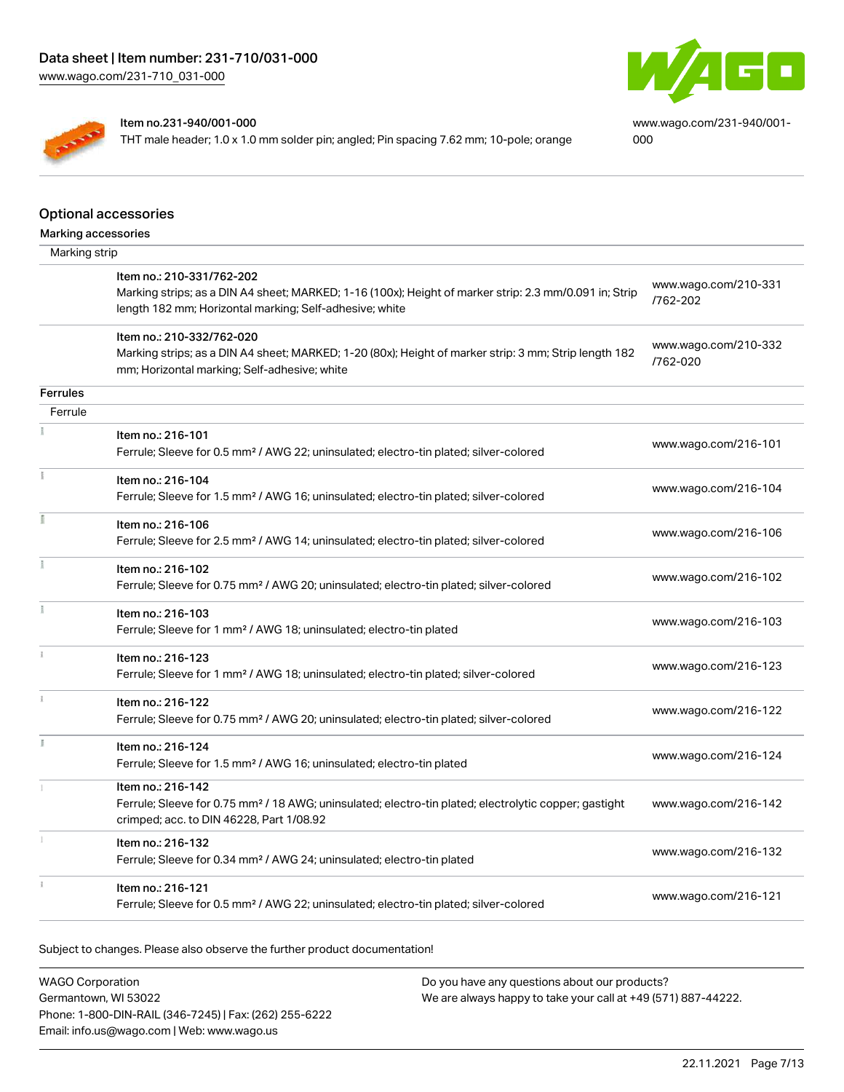

[www.wago.com/231-940/001-](https://www.wago.com/231-940/001-000) [000](https://www.wago.com/231-940/001-000)



#### Item no.231-940/001-000

THT male header; 1.0 x 1.0 mm solder pin; angled; Pin spacing 7.62 mm; 10-pole; orange

|                     | <b>Optional accessories</b>                                                                                                                                       |                      |
|---------------------|-------------------------------------------------------------------------------------------------------------------------------------------------------------------|----------------------|
| Marking accessories |                                                                                                                                                                   |                      |
| Marking strip       |                                                                                                                                                                   |                      |
|                     | Item no.: 210-331/762-202                                                                                                                                         | www.wago.com/210-331 |
|                     | Marking strips; as a DIN A4 sheet; MARKED; 1-16 (100x); Height of marker strip: 2.3 mm/0.091 in; Strip<br>length 182 mm; Horizontal marking; Self-adhesive; white | /762-202             |
|                     | Item no.: 210-332/762-020                                                                                                                                         | www.wago.com/210-332 |
|                     | Marking strips; as a DIN A4 sheet; MARKED; 1-20 (80x); Height of marker strip: 3 mm; Strip length 182<br>mm; Horizontal marking; Self-adhesive; white             | /762-020             |
| Ferrules            |                                                                                                                                                                   |                      |
| Ferrule             |                                                                                                                                                                   |                      |
|                     | Item no.: 216-101                                                                                                                                                 |                      |
|                     | Ferrule; Sleeve for 0.5 mm <sup>2</sup> / AWG 22; uninsulated; electro-tin plated; silver-colored                                                                 | www.wago.com/216-101 |
|                     | Item no.: 216-104                                                                                                                                                 |                      |
|                     | Ferrule; Sleeve for 1.5 mm <sup>2</sup> / AWG 16; uninsulated; electro-tin plated; silver-colored                                                                 | www.wago.com/216-104 |
|                     | Item no.: 216-106                                                                                                                                                 |                      |
|                     | Ferrule; Sleeve for 2.5 mm <sup>2</sup> / AWG 14; uninsulated; electro-tin plated; silver-colored                                                                 | www.wago.com/216-106 |
|                     | Item no.: 216-102                                                                                                                                                 |                      |
|                     | Ferrule; Sleeve for 0.75 mm <sup>2</sup> / AWG 20; uninsulated; electro-tin plated; silver-colored                                                                | www.wago.com/216-102 |
|                     | Item no.: 216-103                                                                                                                                                 | www.wago.com/216-103 |
|                     | Ferrule; Sleeve for 1 mm <sup>2</sup> / AWG 18; uninsulated; electro-tin plated                                                                                   |                      |
|                     | Item no.: 216-123                                                                                                                                                 | www.wago.com/216-123 |
|                     | Ferrule; Sleeve for 1 mm <sup>2</sup> / AWG 18; uninsulated; electro-tin plated; silver-colored                                                                   |                      |
|                     | Item no.: 216-122                                                                                                                                                 | www.wago.com/216-122 |
|                     | Ferrule; Sleeve for 0.75 mm <sup>2</sup> / AWG 20; uninsulated; electro-tin plated; silver-colored                                                                |                      |
|                     | Item no.: 216-124                                                                                                                                                 | www.wago.com/216-124 |
|                     | Ferrule; Sleeve for 1.5 mm <sup>2</sup> / AWG 16; uninsulated; electro-tin plated                                                                                 |                      |
|                     | Item no.: 216-142                                                                                                                                                 |                      |
|                     | Ferrule; Sleeve for 0.75 mm <sup>2</sup> / 18 AWG; uninsulated; electro-tin plated; electrolytic copper; gastight<br>crimped; acc. to DIN 46228, Part 1/08.92     | www.wago.com/216-142 |
|                     | Item no.: 216-132                                                                                                                                                 | www.wago.com/216-132 |
|                     | Ferrule; Sleeve for 0.34 mm <sup>2</sup> / AWG 24; uninsulated; electro-tin plated                                                                                |                      |
|                     | Item no.: 216-121                                                                                                                                                 | www.wago.com/216-121 |
|                     | Ferrule; Sleeve for 0.5 mm <sup>2</sup> / AWG 22; uninsulated; electro-tin plated; silver-colored                                                                 |                      |

Subject to changes. Please also observe the further product documentation!

WAGO Corporation Germantown, WI 53022 Phone: 1-800-DIN-RAIL (346-7245) | Fax: (262) 255-6222 Email: info.us@wago.com | Web: www.wago.us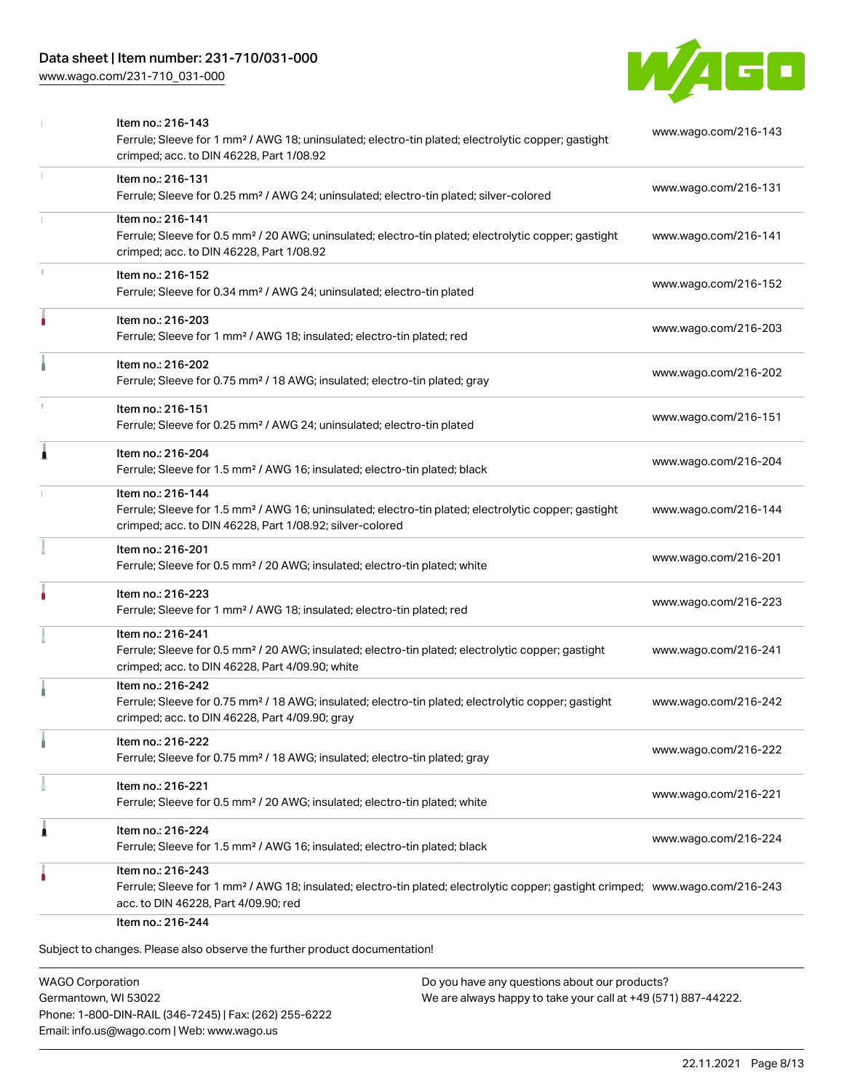# Data sheet | Item number: 231-710/031-000

[www.wago.com/231-710\\_031-000](http://www.wago.com/231-710_031-000)



| www.wago.com/216-143<br>Ferrule; Sleeve for 1 mm <sup>2</sup> / AWG 18; uninsulated; electro-tin plated; electrolytic copper; gastight     |
|--------------------------------------------------------------------------------------------------------------------------------------------|
| www.wago.com/216-131                                                                                                                       |
| Ferrule; Sleeve for 0.5 mm <sup>2</sup> / 20 AWG; uninsulated; electro-tin plated; electrolytic copper; gastight<br>www.wago.com/216-141   |
| www.wago.com/216-152                                                                                                                       |
| www.wago.com/216-203                                                                                                                       |
| www.wago.com/216-202                                                                                                                       |
| www.wago.com/216-151                                                                                                                       |
| www.wago.com/216-204                                                                                                                       |
| Ferrule; Sleeve for 1.5 mm <sup>2</sup> / AWG 16; uninsulated; electro-tin plated; electrolytic copper; gastight<br>www.wago.com/216-144   |
| www.wago.com/216-201                                                                                                                       |
| www.wago.com/216-223                                                                                                                       |
| Ferrule; Sleeve for 0.5 mm <sup>2</sup> / 20 AWG; insulated; electro-tin plated; electrolytic copper; gastight<br>www.wago.com/216-241     |
| Ferrule; Sleeve for 0.75 mm <sup>2</sup> / 18 AWG; insulated; electro-tin plated; electrolytic copper; gastight<br>www.wago.com/216-242    |
| www.wago.com/216-222                                                                                                                       |
| www.wago.com/216-221                                                                                                                       |
| www.wago.com/216-224                                                                                                                       |
| Ferrule; Sleeve for 1 mm <sup>2</sup> / AWG 18; insulated; electro-tin plated; electrolytic copper; gastight crimped; www.wago.com/216-243 |
|                                                                                                                                            |

WAGO Corporation Germantown, WI 53022 Phone: 1-800-DIN-RAIL (346-7245) | Fax: (262) 255-6222 Email: info.us@wago.com | Web: www.wago.us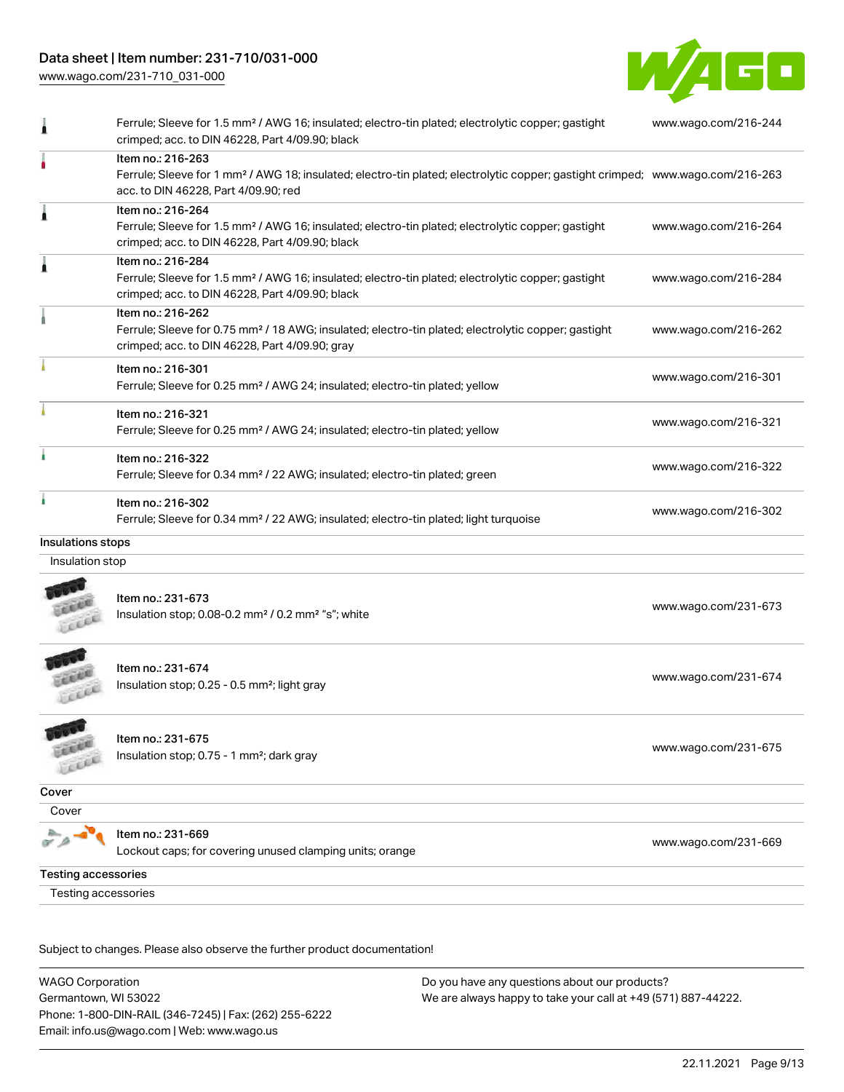# Data sheet | Item number: 231-710/031-000

[www.wago.com/231-710\\_031-000](http://www.wago.com/231-710_031-000)



| 1                          | Ferrule; Sleeve for 1.5 mm <sup>2</sup> / AWG 16; insulated; electro-tin plated; electrolytic copper; gastight<br>crimped; acc. to DIN 46228, Part 4/09.90; black                                       | www.wago.com/216-244 |  |
|----------------------------|---------------------------------------------------------------------------------------------------------------------------------------------------------------------------------------------------------|----------------------|--|
|                            | Item no.: 216-263<br>Ferrule; Sleeve for 1 mm <sup>2</sup> / AWG 18; insulated; electro-tin plated; electrolytic copper; gastight crimped; www.wago.com/216-263<br>acc. to DIN 46228, Part 4/09.90; red |                      |  |
| ۸                          | Item no.: 216-264<br>Ferrule; Sleeve for 1.5 mm <sup>2</sup> / AWG 16; insulated; electro-tin plated; electrolytic copper; gastight<br>crimped; acc. to DIN 46228, Part 4/09.90; black                  | www.wago.com/216-264 |  |
|                            | Item no.: 216-284<br>Ferrule; Sleeve for 1.5 mm <sup>2</sup> / AWG 16; insulated; electro-tin plated; electrolytic copper; gastight<br>crimped; acc. to DIN 46228, Part 4/09.90; black                  | www.wago.com/216-284 |  |
|                            | Item no.: 216-262<br>Ferrule; Sleeve for 0.75 mm <sup>2</sup> / 18 AWG; insulated; electro-tin plated; electrolytic copper; gastight<br>crimped; acc. to DIN 46228, Part 4/09.90; gray                  | www.wago.com/216-262 |  |
|                            | Item no.: 216-301<br>Ferrule; Sleeve for 0.25 mm <sup>2</sup> / AWG 24; insulated; electro-tin plated; yellow                                                                                           | www.wago.com/216-301 |  |
|                            | Item no.: 216-321<br>Ferrule; Sleeve for 0.25 mm <sup>2</sup> / AWG 24; insulated; electro-tin plated; yellow                                                                                           | www.wago.com/216-321 |  |
|                            | Item no.: 216-322<br>Ferrule; Sleeve for 0.34 mm <sup>2</sup> / 22 AWG; insulated; electro-tin plated; green                                                                                            | www.wago.com/216-322 |  |
|                            | Item no.: 216-302<br>Ferrule; Sleeve for 0.34 mm <sup>2</sup> / 22 AWG; insulated; electro-tin plated; light turquoise                                                                                  | www.wago.com/216-302 |  |
| Insulations stops          |                                                                                                                                                                                                         |                      |  |
| Insulation stop            |                                                                                                                                                                                                         |                      |  |
|                            | Item no.: 231-673<br>Insulation stop; 0.08-0.2 mm <sup>2</sup> / 0.2 mm <sup>2</sup> "s"; white                                                                                                         | www.wago.com/231-673 |  |
|                            | Item no.: 231-674<br>Insulation stop; 0.25 - 0.5 mm <sup>2</sup> ; light gray                                                                                                                           | www.wago.com/231-674 |  |
|                            | Item no.: 231-675<br>Insulation stop; 0.75 - 1 mm <sup>2</sup> ; dark gray                                                                                                                              | www.wago.com/231-675 |  |
| Cover                      |                                                                                                                                                                                                         |                      |  |
| Cover                      |                                                                                                                                                                                                         |                      |  |
|                            | Item no.: 231-669<br>Lockout caps; for covering unused clamping units; orange                                                                                                                           | www.wago.com/231-669 |  |
| <b>Testing accessories</b> |                                                                                                                                                                                                         |                      |  |
| Testing accessories        |                                                                                                                                                                                                         |                      |  |

Subject to changes. Please also observe the further product documentation!

WAGO Corporation Germantown, WI 53022 Phone: 1-800-DIN-RAIL (346-7245) | Fax: (262) 255-6222 Email: info.us@wago.com | Web: www.wago.us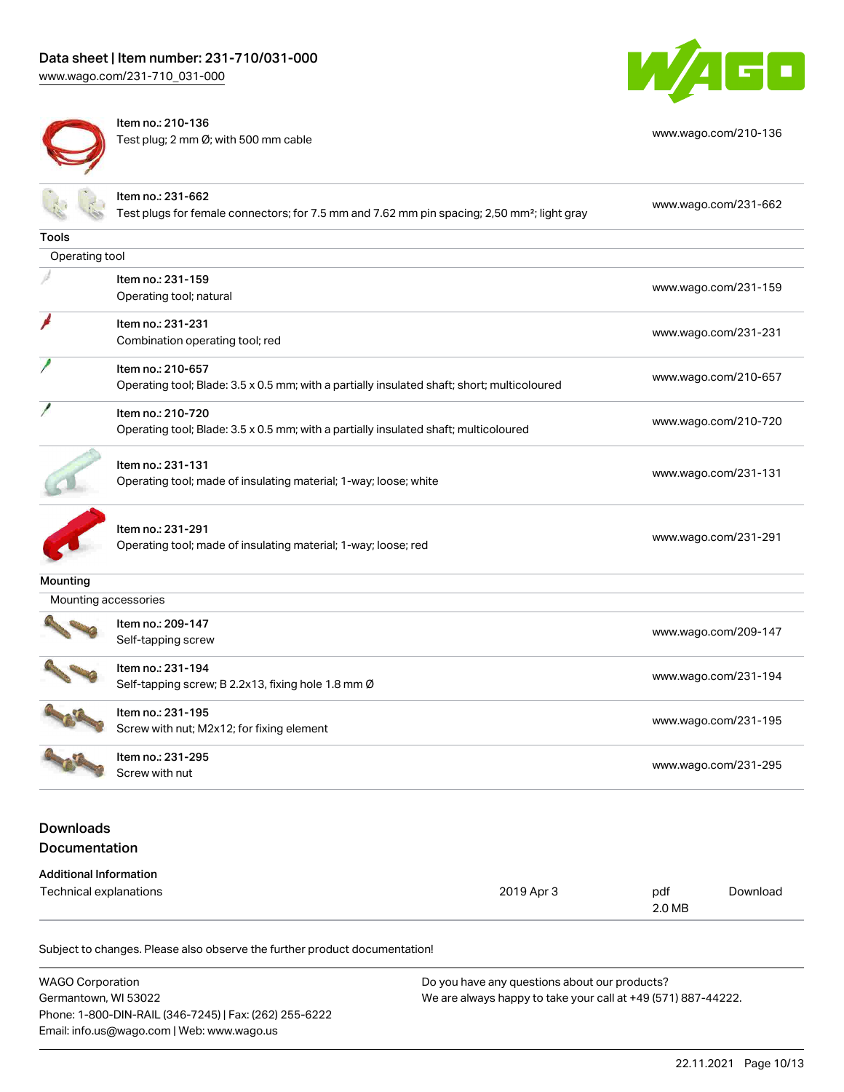[www.wago.com/231-710\\_031-000](http://www.wago.com/231-710_031-000)



Item no.: 210-136 Test plug; 2 mm Ø; with 500 mm cable [www.wago.com/210-136](http://www.wago.com/210-136)



|                                                         | Item no.: 231-662<br>Test plugs for female connectors; for 7.5 mm and 7.62 mm pin spacing; 2,50 mm <sup>2</sup> ; light gray |            |                      | www.wago.com/231-662 |  |
|---------------------------------------------------------|------------------------------------------------------------------------------------------------------------------------------|------------|----------------------|----------------------|--|
| Tools                                                   |                                                                                                                              |            |                      |                      |  |
| Operating tool                                          |                                                                                                                              |            |                      |                      |  |
|                                                         | Item no.: 231-159<br>Operating tool; natural                                                                                 |            | www.wago.com/231-159 |                      |  |
|                                                         | Item no.: 231-231<br>Combination operating tool; red                                                                         |            | www.wago.com/231-231 |                      |  |
|                                                         | Item no.: 210-657<br>Operating tool; Blade: 3.5 x 0.5 mm; with a partially insulated shaft; short; multicoloured             |            | www.wago.com/210-657 |                      |  |
|                                                         | Item no.: 210-720<br>Operating tool; Blade: 3.5 x 0.5 mm; with a partially insulated shaft; multicoloured                    |            | www.wago.com/210-720 |                      |  |
|                                                         | Item no.: 231-131<br>Operating tool; made of insulating material; 1-way; loose; white                                        |            | www.wago.com/231-131 |                      |  |
|                                                         | Item no.: 231-291<br>Operating tool; made of insulating material; 1-way; loose; red                                          |            | www.wago.com/231-291 |                      |  |
| Mounting                                                |                                                                                                                              |            |                      |                      |  |
| Mounting accessories                                    |                                                                                                                              |            |                      |                      |  |
|                                                         | Item no.: 209-147<br>Self-tapping screw                                                                                      |            | www.wago.com/209-147 |                      |  |
|                                                         | Item no.: 231-194<br>Self-tapping screw; B 2.2x13, fixing hole 1.8 mm Ø                                                      |            | www.wago.com/231-194 |                      |  |
|                                                         | Item no.: 231-195<br>Screw with nut; M2x12; for fixing element                                                               |            | www.wago.com/231-195 |                      |  |
|                                                         | Item no.: 231-295<br>Screw with nut                                                                                          |            | www.wago.com/231-295 |                      |  |
| <b>Downloads</b><br>Documentation                       |                                                                                                                              |            |                      |                      |  |
| <b>Additional Information</b><br>Technical explanations |                                                                                                                              | 2019 Apr 3 | pdf<br>2.0 MB        | Download             |  |

| <b>WAGO Corporation</b>                                | Do you have any questions about our products?                 |
|--------------------------------------------------------|---------------------------------------------------------------|
| Germantown, WI 53022                                   | We are always happy to take your call at +49 (571) 887-44222. |
| Phone: 1-800-DIN-RAIL (346-7245)   Fax: (262) 255-6222 |                                                               |
| Email: info.us@wago.com   Web: www.wago.us             |                                                               |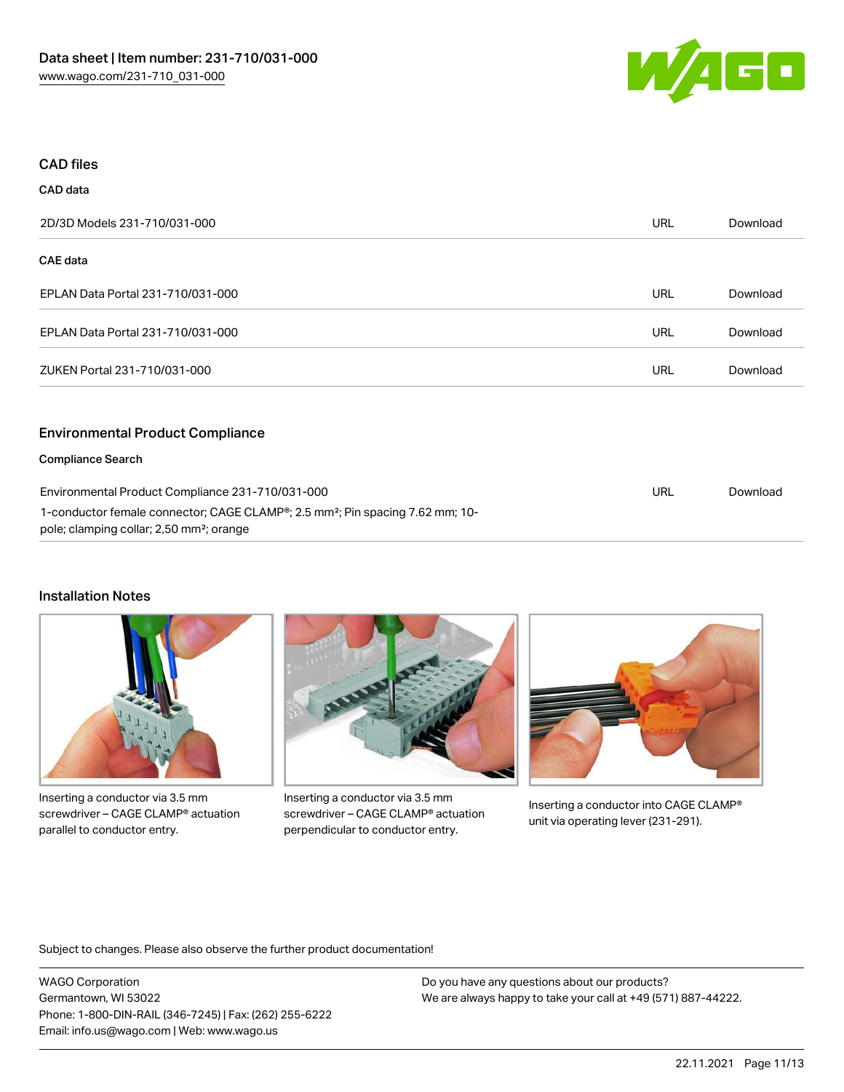

#### CAD files

CAD data

# 2D/3D Models 231-710/031-000 URL [Download](https://www.wago.com/global/d/3D_URLS_231-710_031-000) CAE data EPLAN Data Portal 231-710/031-000 URL [Download](https://www.wago.com/global/d/EPLAN_URLS_231-710%252F031-000) EPLAN Data Portal 231-710/031-000 URL [Download](https://www.wago.com/global/d/EPLAN_URLS_231-710_031-000) ZUKEN Portal 231-710/031-000 URL [Download](https://www.wago.com/global/d/Zuken_URLS_231-710_031-000) Environmental Product Compliance Compliance Search Environmental Product Compliance 231-710/031-000 1-conductor female connector; CAGE CLAMP®; 2.5 mm²; Pin spacing 7.62 mm; 10 pole; clamping collar; 2,50 mm²; orange URL [Download](https://www.wago.com/global/d/ComplianceLinkMediaContainer_231-710_031-000)

# Installation Notes



Inserting a conductor via 3.5 mm screwdriver – CAGE CLAMP® actuation parallel to conductor entry.



Inserting a conductor via 3.5 mm screwdriver – CAGE CLAMP® actuation perpendicular to conductor entry.



Inserting a conductor into CAGE CLAMP® unit via operating lever (231-291).

Subject to changes. Please also observe the further product documentation!

WAGO Corporation Germantown, WI 53022 Phone: 1-800-DIN-RAIL (346-7245) | Fax: (262) 255-6222 Email: info.us@wago.com | Web: www.wago.us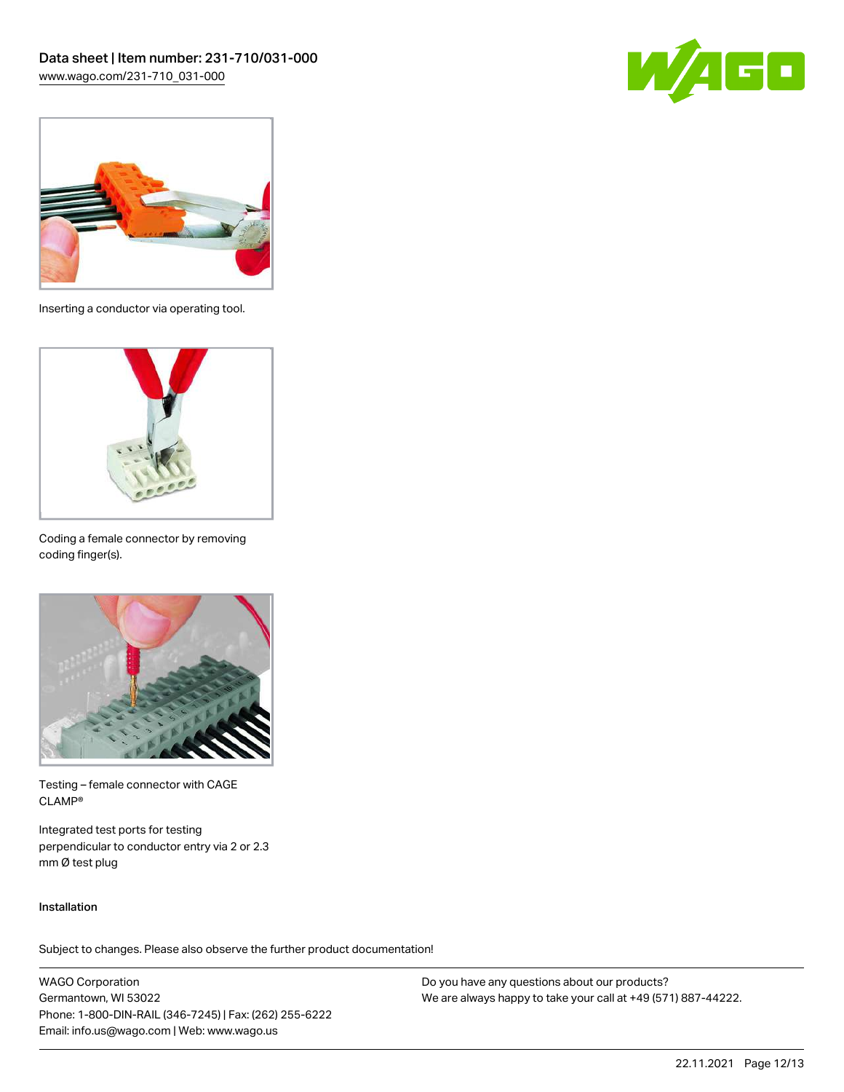



Inserting a conductor via operating tool.



Coding a female connector by removing coding finger(s).



Testing – female connector with CAGE CLAMP®

Integrated test ports for testing perpendicular to conductor entry via 2 or 2.3 mm Ø test plug

#### Installation

Subject to changes. Please also observe the further product documentation!

WAGO Corporation Germantown, WI 53022 Phone: 1-800-DIN-RAIL (346-7245) | Fax: (262) 255-6222 Email: info.us@wago.com | Web: www.wago.us